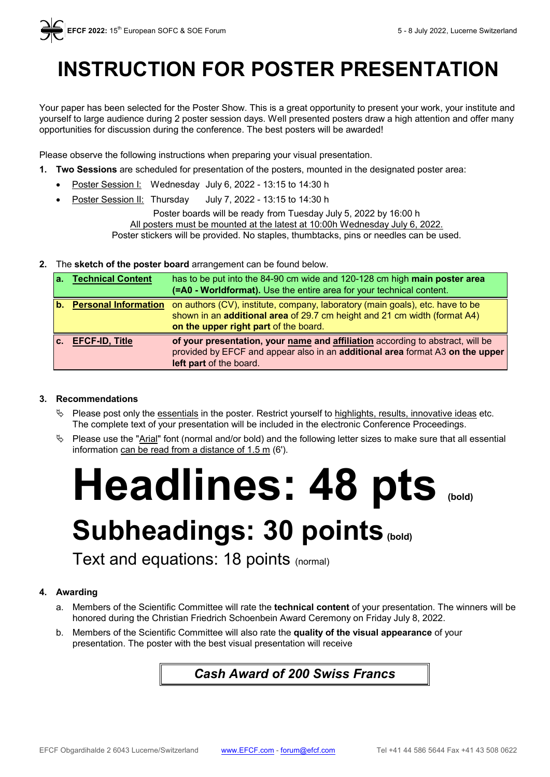## **INSTRUCTION FOR POSTER PRESENTATION**

Your paper has been selected for the Poster Show. This is a great opportunity to present your work, your institute and yourself to large audience during 2 poster session days. Well presented posters draw a high attention and offer many opportunities for discussion during the conference. The best posters will be awarded!

Please observe the following instructions when preparing your visual presentation.

- **1. Two Sessions** are scheduled for presentation of the posters, mounted in the designated poster area:
	- Poster Session I: Wednesday July 6, 2022 13:15 to 14:30 h
	- Poster Session II: Thursday July 7, 2022 13:15 to 14:30 h

Poster boards will be ready from Tuesday July 5, 2022 by 16:00 h All posters must be mounted at the latest at 10:00h Wednesday July 6, 2022. Poster stickers will be provided. No staples, thumbtacks, pins or needles can be used.

**2.** The **sketch of the poster board** arrangement can be found below.

| a <sub>1</sub> | <b>Technical Content</b> | has to be put into the 84-90 cm wide and 120-128 cm high main poster area<br>(=A0 - Worldformat). Use the entire area for your technical content.                                                   |
|----------------|--------------------------|-----------------------------------------------------------------------------------------------------------------------------------------------------------------------------------------------------|
|                | b. Personal Information  | on authors (CV), institute, company, laboratory (main goals), etc. have to be<br>shown in an additional area of 29.7 cm height and 21 cm width (format A4)<br>on the upper right part of the board. |
| $\mathbf{c}$ . | <b>EFCF-ID, Title</b>    | of your presentation, your name and affiliation according to abstract, will be<br>provided by EFCF and appear also in an additional area format A3 on the upper<br>left part of the board.          |

#### **3. Recommendations**

- $\%$  Please post only the essentials in the poster. Restrict yourself to highlights, results, innovative ideas etc. The complete text of your presentation will be included in the electronic Conference Proceedings.
- Please use the "Arial" font (normal and/or bold) and the following letter sizes to make sure that all essential information can be read from a distance of 1.5 m (6').

**Headlines: 48 pts (bold)**

# **Subheadings: 30 points(bold)**

Text and equations: 18 points (normal)

#### **4. Awarding**

- a. Members of the Scientific Committee will rate the **technical content** of your presentation. The winners will be honored during the Christian Friedrich Schoenbein Award Ceremony on Friday July 8, 2022.
- b. Members of the Scientific Committee will also rate the **quality of the visual appearance** of your presentation. The poster with the best visual presentation will receive

### *Cash Award of 200 Swiss Francs*